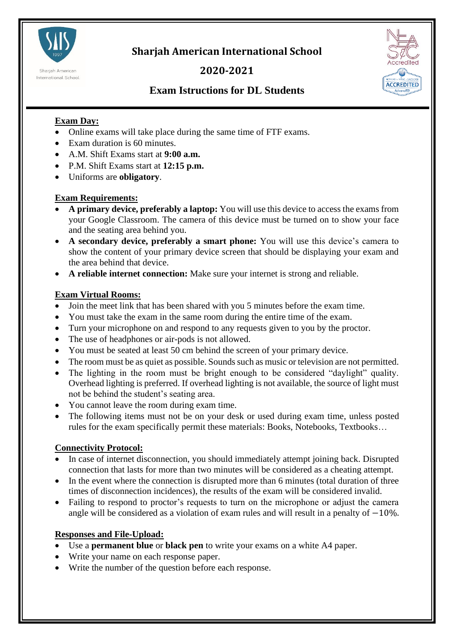

**Sharjah American International School**

# **2020-2021**



# **Exam Istructions for DL Students**

## **Exam Day:**

- Online exams will take place during the same time of FTF exams.
- Exam duration is 60 minutes.
- A.M. Shift Exams start at **9:00 a.m.**
- P.M. Shift Exams start at **12:15 p.m.**
- Uniforms are **obligatory**.

### **Exam Requirements:**

- **A primary device, preferably a laptop:** You will use this device to access the exams from your Google Classroom. The camera of this device must be turned on to show your face and the seating area behind you.
- **A secondary device, preferably a smart phone:** You will use this device's camera to show the content of your primary device screen that should be displaying your exam and the area behind that device.
- **A reliable internet connection:** Make sure your internet is strong and reliable.

### **Exam Virtual Rooms:**

- Join the meet link that has been shared with you 5 minutes before the exam time.
- You must take the exam in the same room during the entire time of the exam.
- Turn your microphone on and respond to any requests given to you by the proctor.
- The use of headphones or air-pods is not allowed.
- You must be seated at least 50 cm behind the screen of your primary device.
- The room must be as quiet as possible. Sounds such as music or television are not permitted.
- The lighting in the room must be bright enough to be considered "daylight" quality. Overhead lighting is preferred. If overhead lighting is not available, the source of light must not be behind the student's seating area.
- You cannot leave the room during exam time.
- The following items must not be on your desk or used during exam time, unless posted rules for the exam specifically permit these materials: Books, Notebooks, Textbooks…

## **Connectivity Protocol:**

- In case of internet disconnection, you should immediately attempt joining back. Disrupted connection that lasts for more than two minutes will be considered as a cheating attempt.
- In the event where the connection is disrupted more than 6 minutes (total duration of three times of disconnection incidences), the results of the exam will be considered invalid.
- Failing to respond to proctor's requests to turn on the microphone or adjust the camera angle will be considered as a violation of exam rules and will result in a penalty of  $-10\%$ .

## **Responses and File-Upload:**

- Use a **permanent blue** or **black pen** to write your exams on a white A4 paper.
- Write your name on each response paper.
- Write the number of the question before each response.